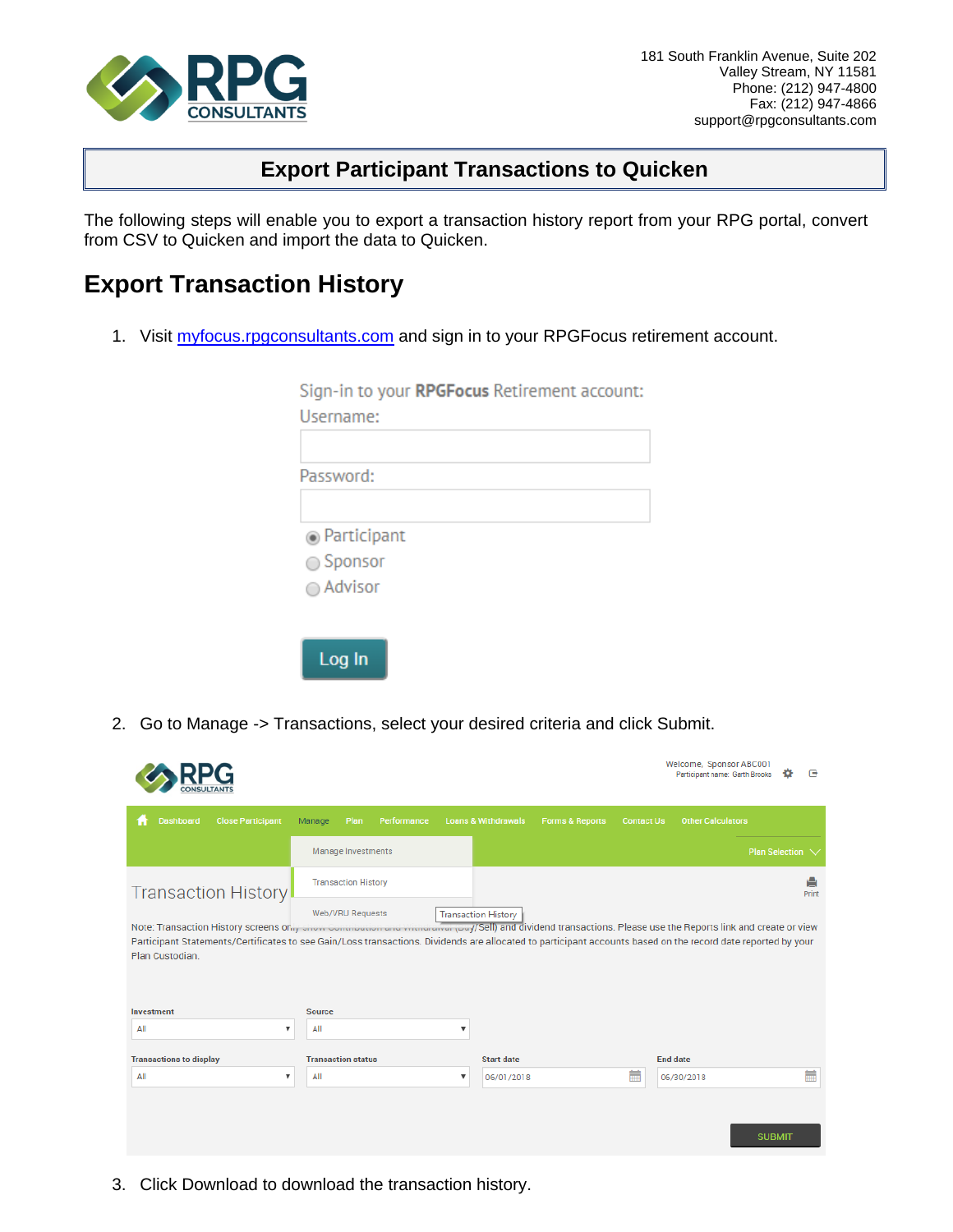

## **Export Participant Transactions to Quicken**

The following steps will enable you to export a transaction history report from your RPG portal, convert from CSV to Quicken and import the data to Quicken.

## **Export Transaction History**

1. Visit [myfocus.rpgconsultants.com](http://myfocus.rpgconsultants.com/) and sign in to your RPGFocus retirement account.

| Sign-in to your RPGFocus Retirement account: |
|----------------------------------------------|
| Username:                                    |
|                                              |
| Password:                                    |
| ◉ Participant                                |
| $\bigcirc$ Sponsor                           |
| ◯ Advisor                                    |
|                                              |
| Log In                                       |

2. Go to Manage -> Transactions, select your desired criteria and click Submit.

|                                                                                                                                                                                                                                                                                                                                                                                                  |                            |               |                            |                                |                            |                   | Welcome, Sponsor ABC001<br>Participant name: Garth Brooks |                  | ſ₹         |
|--------------------------------------------------------------------------------------------------------------------------------------------------------------------------------------------------------------------------------------------------------------------------------------------------------------------------------------------------------------------------------------------------|----------------------------|---------------|----------------------------|--------------------------------|----------------------------|-------------------|-----------------------------------------------------------|------------------|------------|
| <b>Dashboard</b>                                                                                                                                                                                                                                                                                                                                                                                 | <b>Close Participant</b>   | Manage        | Plan<br>Performance        | <b>Loans &amp; Withdrawals</b> | <b>Forms &amp; Reports</b> | <b>Contact Us</b> | <b>Other Calculators</b>                                  |                  |            |
|                                                                                                                                                                                                                                                                                                                                                                                                  |                            |               | Manage Investments         |                                |                            |                   |                                                           | Plan Selection V |            |
|                                                                                                                                                                                                                                                                                                                                                                                                  | <b>Transaction History</b> |               | <b>Transaction History</b> |                                |                            |                   |                                                           |                  | A<br>Print |
| Web/VRU Requests<br><b>Transaction History</b><br>Note: Transaction History screens only once commodator and visitation (Du //Sell) and dividend transactions. Please use the Reports link and create or view<br>Participant Statements/Certificates to see Gain/Loss transactions. Dividends are allocated to participant accounts based on the record date reported by your<br>Plan Custodian. |                            |               |                            |                                |                            |                   |                                                           |                  |            |
| Investment                                                                                                                                                                                                                                                                                                                                                                                       |                            | <b>Source</b> |                            |                                |                            |                   |                                                           |                  |            |
| All                                                                                                                                                                                                                                                                                                                                                                                              | ▼                          | All           |                            | $\overline{\mathbf{v}}$        |                            |                   |                                                           |                  |            |
| <b>Transactions to display</b>                                                                                                                                                                                                                                                                                                                                                                   |                            |               | <b>Transaction status</b>  |                                | <b>Start date</b>          |                   | <b>End date</b>                                           |                  |            |
| All                                                                                                                                                                                                                                                                                                                                                                                              | ۷.                         | All           |                            | ▼<br>06/01/2018                |                            | m                 | 06/30/2018                                                |                  |            |
|                                                                                                                                                                                                                                                                                                                                                                                                  |                            |               |                            |                                |                            |                   |                                                           | <b>SUBMIT</b>    |            |

3. Click Download to download the transaction history.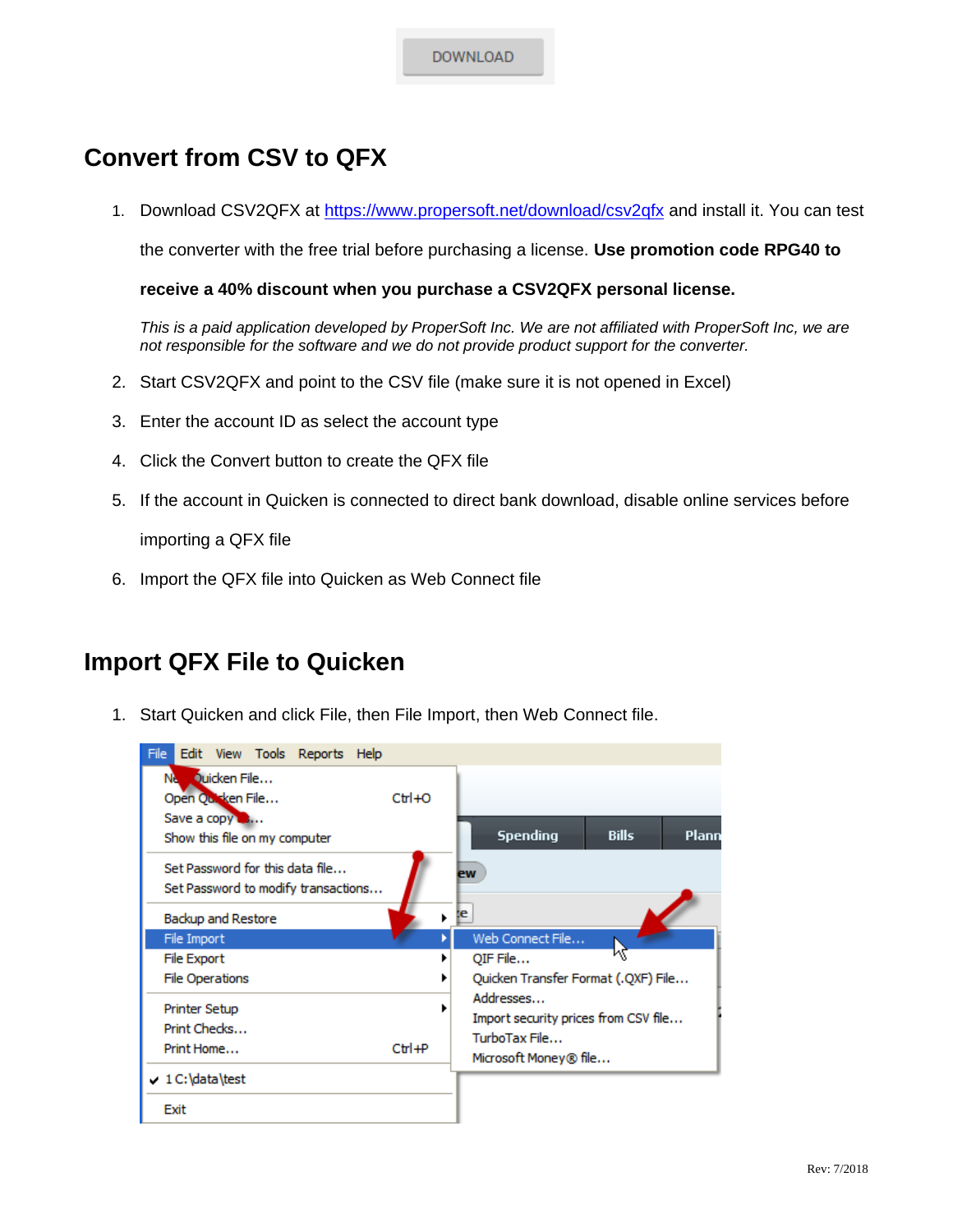**DOWNLOAD** 

## **Convert from CSV to QFX**

1. Download CSV2QFX at<https://www.propersoft.net/download/csv2qfx> and install it. You can test

the converter with the free trial before purchasing a license. **Use promotion code RPG40 to** 

**receive a 40% discount when you purchase a CSV2QFX personal license.**

*This is a paid application developed by ProperSoft Inc. We are not affiliated with ProperSoft Inc, we are not responsible for the software and we do not provide product support for the converter.* 

- 2. Start CSV2QFX and point to the CSV file (make sure it is not opened in Excel)
- 3. Enter the account ID as select the account type
- 4. Click the Convert button to create the QFX file
- 5. If the account in Quicken is connected to direct bank download, disable online services before

importing a QFX file

6. Import the QFX file into Quicken as Web Connect file

## **Import QFX File to Quicken**

1. Start Quicken and click File, then File Import, then Web Connect file.

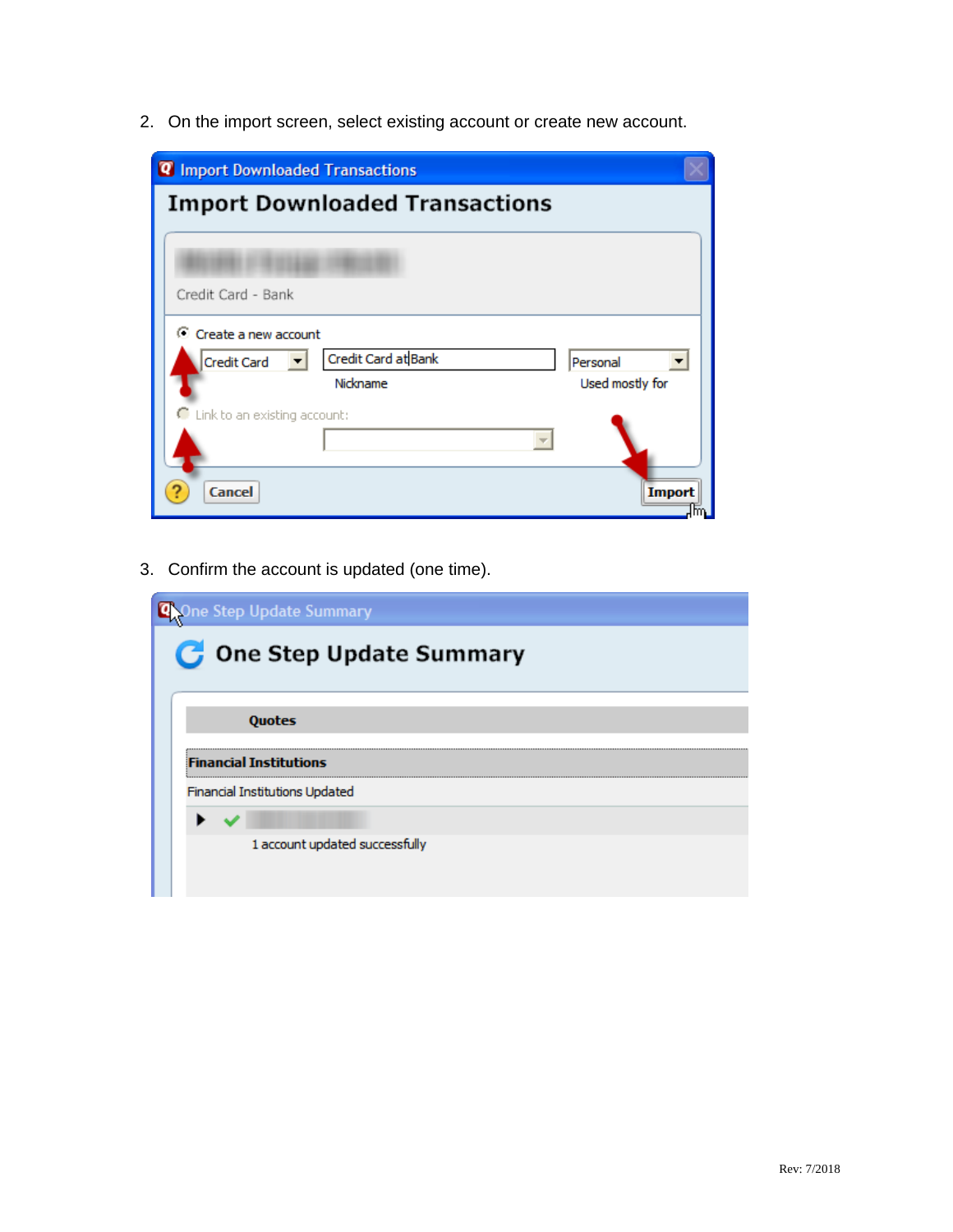2. On the import screen, select existing account or create new account.

| <b>Q</b> Import Downloaded Transactions   |                     |  |  |  |  |  |  |  |
|-------------------------------------------|---------------------|--|--|--|--|--|--|--|
| <b>Import Downloaded Transactions</b>     |                     |  |  |  |  |  |  |  |
|                                           |                     |  |  |  |  |  |  |  |
|                                           |                     |  |  |  |  |  |  |  |
| Credit Card - Bank                        |                     |  |  |  |  |  |  |  |
| C Create a new account                    |                     |  |  |  |  |  |  |  |
| Credit Card at Bank<br><b>Credit Card</b> | Personal            |  |  |  |  |  |  |  |
| Nickname                                  | Used mostly for     |  |  |  |  |  |  |  |
| C Link to an existing account:            |                     |  |  |  |  |  |  |  |
|                                           |                     |  |  |  |  |  |  |  |
| <b>Cancel</b>                             | <b>Import</b><br>m. |  |  |  |  |  |  |  |

3. Confirm the account is updated (one time).

| Ine Step Update Summary          |
|----------------------------------|
| <b>C</b> One Step Update Summary |
| <b>Quotes</b>                    |
| <b>Financial Institutions</b>    |
| Financial Institutions Updated   |
|                                  |
| 1 account updated successfully   |